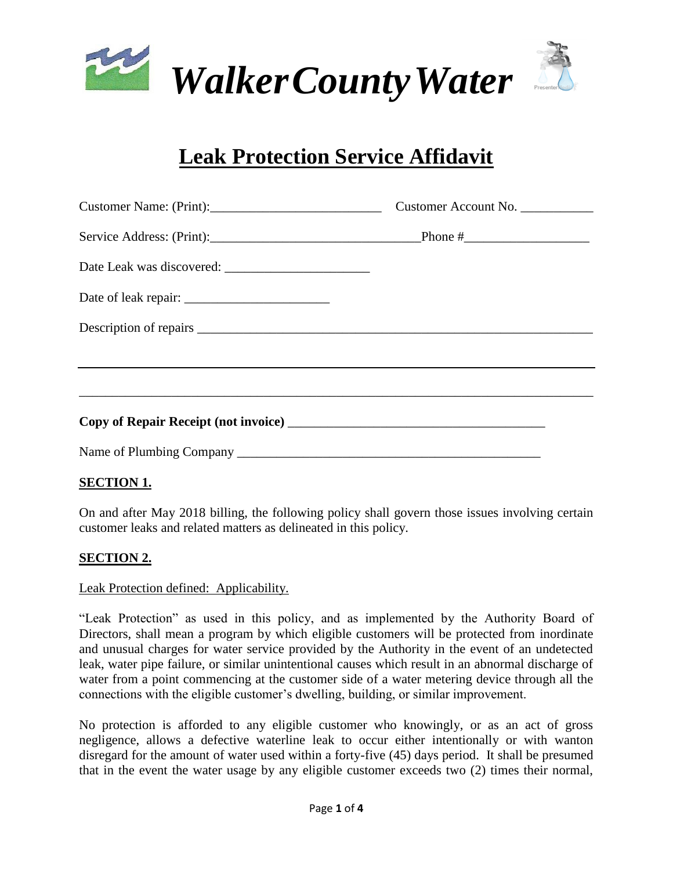



# **Leak Protection Service Affidavit**

| Customer Name: (Print): | Customer Account No. |  |
|-------------------------|----------------------|--|
|                         |                      |  |
|                         |                      |  |
|                         |                      |  |
|                         |                      |  |
|                         |                      |  |
|                         |                      |  |
|                         |                      |  |
|                         |                      |  |

# **SECTION 1.**

On and after May 2018 billing, the following policy shall govern those issues involving certain customer leaks and related matters as delineated in this policy.

# **SECTION 2.**

## Leak Protection defined: Applicability.

"Leak Protection" as used in this policy, and as implemented by the Authority Board of Directors, shall mean a program by which eligible customers will be protected from inordinate and unusual charges for water service provided by the Authority in the event of an undetected leak, water pipe failure, or similar unintentional causes which result in an abnormal discharge of water from a point commencing at the customer side of a water metering device through all the connections with the eligible customer's dwelling, building, or similar improvement.

No protection is afforded to any eligible customer who knowingly, or as an act of gross negligence, allows a defective waterline leak to occur either intentionally or with wanton disregard for the amount of water used within a forty-five (45) days period. It shall be presumed that in the event the water usage by any eligible customer exceeds two (2) times their normal,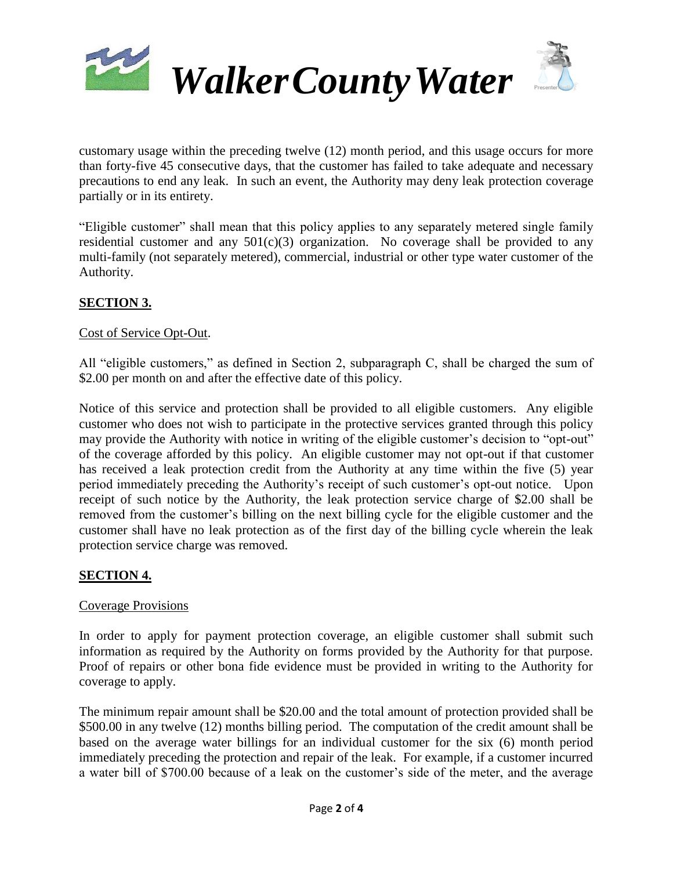

customary usage within the preceding twelve (12) month period, and this usage occurs for more than forty-five 45 consecutive days, that the customer has failed to take adequate and necessary precautions to end any leak. In such an event, the Authority may deny leak protection coverage partially or in its entirety.

"Eligible customer" shall mean that this policy applies to any separately metered single family residential customer and any  $501(c)(3)$  organization. No coverage shall be provided to any multi-family (not separately metered), commercial, industrial or other type water customer of the Authority.

## **SECTION 3.**

#### Cost of Service Opt-Out.

All "eligible customers," as defined in Section 2, subparagraph C, shall be charged the sum of \$2.00 per month on and after the effective date of this policy.

Notice of this service and protection shall be provided to all eligible customers. Any eligible customer who does not wish to participate in the protective services granted through this policy may provide the Authority with notice in writing of the eligible customer's decision to "opt-out" of the coverage afforded by this policy. An eligible customer may not opt-out if that customer has received a leak protection credit from the Authority at any time within the five (5) year period immediately preceding the Authority's receipt of such customer's opt-out notice. Upon receipt of such notice by the Authority, the leak protection service charge of \$2.00 shall be removed from the customer's billing on the next billing cycle for the eligible customer and the customer shall have no leak protection as of the first day of the billing cycle wherein the leak protection service charge was removed.

## **SECTION 4.**

#### Coverage Provisions

In order to apply for payment protection coverage, an eligible customer shall submit such information as required by the Authority on forms provided by the Authority for that purpose. Proof of repairs or other bona fide evidence must be provided in writing to the Authority for coverage to apply.

The minimum repair amount shall be \$20.00 and the total amount of protection provided shall be \$500.00 in any twelve (12) months billing period. The computation of the credit amount shall be based on the average water billings for an individual customer for the six (6) month period immediately preceding the protection and repair of the leak. For example, if a customer incurred a water bill of \$700.00 because of a leak on the customer's side of the meter, and the average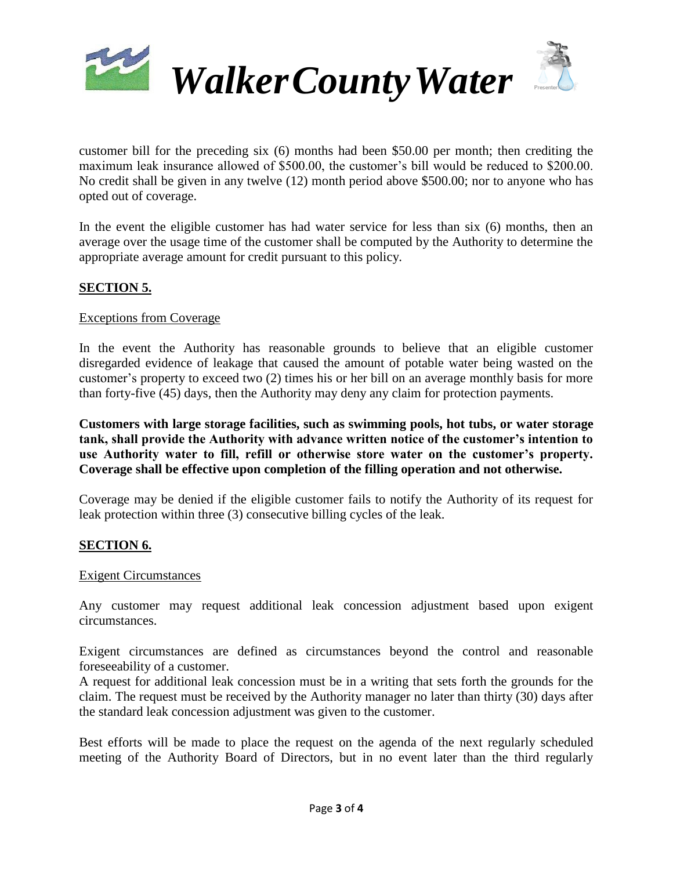

customer bill for the preceding six (6) months had been \$50.00 per month; then crediting the maximum leak insurance allowed of \$500.00, the customer's bill would be reduced to \$200.00. No credit shall be given in any twelve (12) month period above \$500.00; nor to anyone who has opted out of coverage.

In the event the eligible customer has had water service for less than six (6) months, then an average over the usage time of the customer shall be computed by the Authority to determine the appropriate average amount for credit pursuant to this policy.

## **SECTION 5.**

#### Exceptions from Coverage

In the event the Authority has reasonable grounds to believe that an eligible customer disregarded evidence of leakage that caused the amount of potable water being wasted on the customer's property to exceed two (2) times his or her bill on an average monthly basis for more than forty-five (45) days, then the Authority may deny any claim for protection payments.

**Customers with large storage facilities, such as swimming pools, hot tubs, or water storage tank, shall provide the Authority with advance written notice of the customer's intention to use Authority water to fill, refill or otherwise store water on the customer's property. Coverage shall be effective upon completion of the filling operation and not otherwise.**

Coverage may be denied if the eligible customer fails to notify the Authority of its request for leak protection within three (3) consecutive billing cycles of the leak.

## **SECTION 6.**

#### Exigent Circumstances

Any customer may request additional leak concession adjustment based upon exigent circumstances.

Exigent circumstances are defined as circumstances beyond the control and reasonable foreseeability of a customer.

A request for additional leak concession must be in a writing that sets forth the grounds for the claim. The request must be received by the Authority manager no later than thirty (30) days after the standard leak concession adjustment was given to the customer.

Best efforts will be made to place the request on the agenda of the next regularly scheduled meeting of the Authority Board of Directors, but in no event later than the third regularly